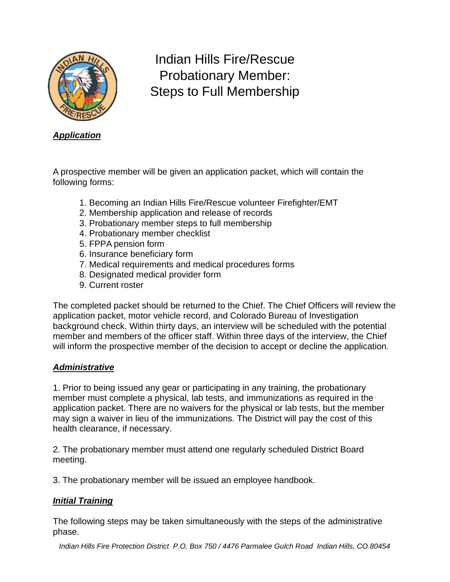

# Indian Hills Fire/Rescue Probationary Member: Steps to Full Membership

*Application*

A prospective member will be given an application packet, which will contain the following forms:

- 1. Becoming an Indian Hills Fire/Rescue volunteer Firefighter/EMT
- 2. Membership application and release of records
- 3. Probationary member steps to full membership
- 4. Probationary member checklist
- 5. FPPA pension form
- 6. Insurance beneficiary form
- 7. Medical requirements and medical procedures forms
- 8. Designated medical provider form
- 9. Current roster

The completed packet should be returned to the Chief. The Chief Officers will review the application packet, motor vehicle record, and Colorado Bureau of Investigation background check. Within thirty days, an interview will be scheduled with the potential member and members of the officer staff. Within three days of the interview, the Chief will inform the prospective member of the decision to accept or decline the application.

## *Administrative*

1. Prior to being issued any gear or participating in any training, the probationary member must complete a physical, lab tests, and immunizations as required in the application packet. There are no waivers for the physical or lab tests, but the member may sign a waiver in lieu of the immunizations. The District will pay the cost of this health clearance, if necessary.

2. The probationary member must attend one regularly scheduled District Board meeting.

3. The probationary member will be issued an employee handbook.

## *Initial Training*

The following steps may be taken simultaneously with the steps of the administrative phase.

*Indian Hills Fire Protection District P.O. Box 750 / 4476 Parmalee Gulch Road Indian Hills, CO 80454*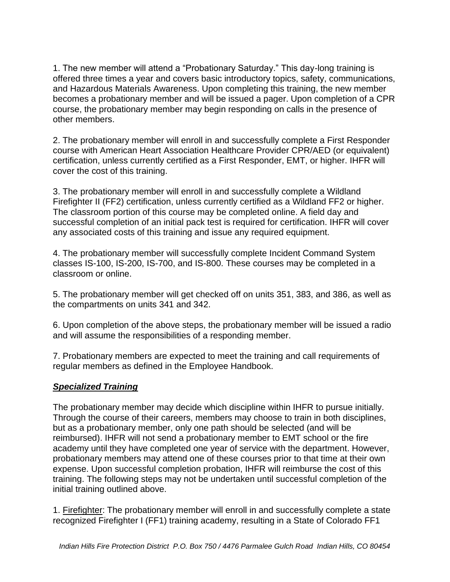1. The new member will attend a "Probationary Saturday." This day-long training is offered three times a year and covers basic introductory topics, safety, communications, and Hazardous Materials Awareness. Upon completing this training, the new member becomes a probationary member and will be issued a pager. Upon completion of a CPR course, the probationary member may begin responding on calls in the presence of other members.

2. The probationary member will enroll in and successfully complete a First Responder course with American Heart Association Healthcare Provider CPR/AED (or equivalent) certification, unless currently certified as a First Responder, EMT, or higher. IHFR will cover the cost of this training.

3. The probationary member will enroll in and successfully complete a Wildland Firefighter II (FF2) certification, unless currently certified as a Wildland FF2 or higher. The classroom portion of this course may be completed online. A field day and successful completion of an initial pack test is required for certification. IHFR will cover any associated costs of this training and issue any required equipment.

4. The probationary member will successfully complete Incident Command System classes IS-100, IS-200, IS-700, and IS-800. These courses may be completed in a classroom or online.

5. The probationary member will get checked off on units 351, 383, and 386, as well as the compartments on units 341 and 342.

6. Upon completion of the above steps, the probationary member will be issued a radio and will assume the responsibilities of a responding member.

7. Probationary members are expected to meet the training and call requirements of regular members as defined in the Employee Handbook.

## *Specialized Training*

The probationary member may decide which discipline within IHFR to pursue initially. Through the course of their careers, members may choose to train in both disciplines, but as a probationary member, only one path should be selected (and will be reimbursed). IHFR will not send a probationary member to EMT school or the fire academy until they have completed one year of service with the department. However, probationary members may attend one of these courses prior to that time at their own expense. Upon successful completion probation, IHFR will reimburse the cost of this training. The following steps may not be undertaken until successful completion of the initial training outlined above.

1. Firefighter: The probationary member will enroll in and successfully complete a state recognized Firefighter I (FF1) training academy, resulting in a State of Colorado FF1